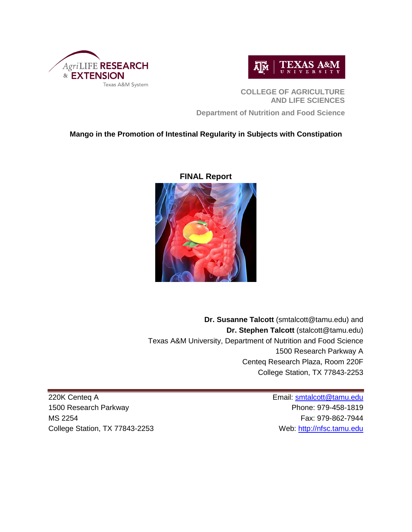



**COLLEGE OF AGRICULTURE AND LIFE SCIENCES**

**Department of Nutrition and Food Science**

# **Mango in the Promotion of Intestinal Regularity in Subjects with Constipation**



**FINAL Report**

**Dr. Susanne Talcott** (smtalcott@tamu.edu) and **Dr. Stephen Talcott** (stalcott@tamu.edu) Texas A&M University, Department of Nutrition and Food Science 1500 Research Parkway A Centeq Research Plaza, Room 220F College Station, TX 77843-2253

220K Centeq A **Email:** smtalcott<sup>@tamu.edu</sup> 1500 Research Parkway **Phone: 979-458-1819** MS 2254 Fax: 979-862-7944 College Station, TX 77843-2253 Web: [http://nfsc.tamu.edu](http://nfsc.tamu.edu/)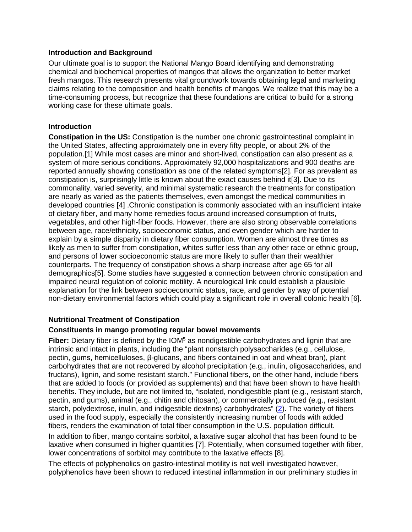## **Introduction and Background**

Our ultimate goal is to support the National Mango Board identifying and demonstrating chemical and biochemical properties of mangos that allows the organization to better market fresh mangos. This research presents vital groundwork towards obtaining legal and marketing claims relating to the composition and health benefits of mangos. We realize that this may be a time-consuming process, but recognize that these foundations are critical to build for a strong working case for these ultimate goals.

## **Introduction**

**Constipation in the US:** Constipation is the number one chronic gastrointestinal complaint in the United States, affecting approximately one in every fifty people, or about 2% of the population.[\[1\]](#page-11-0) While most cases are minor and short-lived, constipation can also present as a system of more serious conditions. Approximately 92,000 hospitalizations and 900 deaths are reported annually showing constipation as one of the related symptoms[\[2\]](#page-11-1). For as prevalent as constipation is, surprisingly little is known about the exact causes behind it[\[3\]](#page-11-2). Due to its commonality, varied severity, and minimal systematic research the treatments for constipation are nearly as varied as the patients themselves, even amongst the medical communities in developed countries [\[4\]](#page-11-3) .Chronic constipation is commonly associated with an insufficient intake of dietary fiber, and many home remedies focus around increased consumption of fruits, vegetables, and other high-fiber foods. However, there are also strong observable correlations between age, race/ethnicity, socioeconomic status, and even gender which are harder to explain by a simple disparity in dietary fiber consumption. Women are almost three times as likely as men to suffer from constipation, whites suffer less than any other race or ethnic group, and persons of lower socioeconomic status are more likely to suffer than their wealthier counterparts. The frequency of constipation shows a sharp increase after age 65 for all demographics[\[5\]](#page-11-4). Some studies have suggested a connection between chronic constipation and impaired neural regulation of colonic motility. A neurological link could establish a plausible explanation for the link between socioeconomic status, race, and gender by way of potential non-dietary environmental factors which could play a significant role in overall colonic health [\[6\]](#page-11-5).

## **Nutritional Treatment of Constipation**

## **Constituents in mango promoting regular bowel movements**

**Fiber:** Dietary fiber is defined by the IOM<sup>5</sup> as nondigestible carbohydrates and lignin that are intrinsic and intact in plants, including the "plant nonstarch polysaccharides (e.g., cellulose, pectin, gums, hemicelluloses, β-glucans, and fibers contained in oat and wheat bran), plant carbohydrates that are not recovered by alcohol precipitation (e.g., inulin, oligosaccharides, and fructans), lignin, and some resistant starch." Functional fibers, on the other hand, include fibers that are added to foods (or provided as supplements) and that have been shown to have health benefits. They include, but are not limited to, "isolated, nondigestible plant (e.g., resistant starch, pectin, and gums), animal (e.g., chitin and chitosan), or commercially produced (e.g., resistant starch, polydextrose, inulin, and indigestible dextrins) carbohydrates" [\(2\)](http://advances.nutrition.org/content/3/1/47.long#ref-2). The variety of fibers used in the food supply, especially the consistently increasing number of foods with added fibers, renders the examination of total fiber consumption in the U.S. population difficult.

In addition to fiber, mango contains sorbitol, a laxative sugar alcohol that has been found to be laxative when consumed in higher quantities [\[7\]](#page-12-0). Potentially, when consumed together with fiber, lower concentrations of sorbitol may contribute to the laxative effects [\[8\]](#page-12-1).

The effects of polyphenolics on gastro-intestinal motility is not well investigated however, polyphenolics have been shown to reduced intestinal inflammation in our preliminary studies in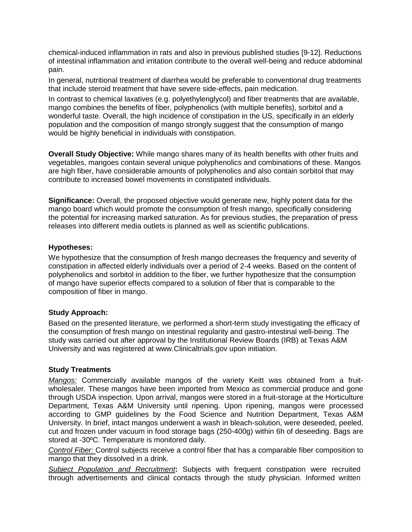chemical-induced inflammation in rats and also in previous published studies [\[9-12\]](#page-12-2). Reductions of intestinal inflammation and irritation contribute to the overall well-being and reduce abdominal pain.

In general, nutritional treatment of diarrhea would be preferable to conventional drug treatments that include steroid treatment that have severe side-effects, pain medication.

In contrast to chemical laxatives (e.g. polyethylenglycol) and fiber treatments that are available, mango combines the benefits of fiber, polyphenolics (with multiple benefits), sorbitol and a wonderful taste. Overall, the high incidence of constipation in the US, specifically in an elderly population and the composition of mango strongly suggest that the consumption of mango would be highly beneficial in individuals with constipation.

**Overall Study Objective:** While mango shares many of its health benefits with other fruits and vegetables, mangoes contain several unique polyphenolics and combinations of these. Mangos are high fiber, have considerable amounts of polyphenolics and also contain sorbitol that may contribute to increased bowel movements in constipated individuals.

**Significance:** Overall, the proposed objective would generate new, highly potent data for the mango board which would promote the consumption of fresh mango, specifically considering the potential for increasing marked saturation. As for previous studies, the preparation of press releases into different media outlets is planned as well as scientific publications.

## **Hypotheses:**

We hypothesize that the consumption of fresh mango decreases the frequency and severity of constipation in affected elderly individuals over a period of 2-4 weeks. Based on the content of polyphenolics and sorbitol in addition to the fiber, we further hypothesize that the consumption of mango have superior effects compared to a solution of fiber that is comparable to the composition of fiber in mango.

#### **Study Approach:**

Based on the presented literature, we performed a short-term study investigating the efficacy of the consumption of fresh mango on intestinal regularity and gastro-intestinal well-being. The study was carried out after approval by the Institutional Review Boards (IRB) at Texas A&M University and was registered at [www.Clinicaltrials.gov](http://www.clinicaltrials.gov/) upon initiation.

#### **Study Treatments**

*Mangos:* Commercially available mangos of the variety Keitt was obtained from a fruitwholesaler. These mangos have been imported from Mexico as commercial produce and gone through USDA inspection. Upon arrival, mangos were stored in a fruit-storage at the Horticulture Department, Texas A&M University until ripening. Upon ripening, mangos were processed according to GMP guidelines by the Food Science and Nutrition Department, Texas A&M University. In brief, intact mangos underwent a wash in bleach-solution, were deseeded, peeled, cut and frozen under vacuum in food storage bags (250-400g) within 6h of deseeding. Bags are stored at -30ºC. Temperature is monitored daily.

*Control Fiber:* Control subjects receive a control fiber that has a comparable fiber composition to mango that they dissolved in a drink.

*Subject Population and Recruitment***:** Subjects with frequent constipation were recruited through advertisements and clinical contacts through the study physician. Informed written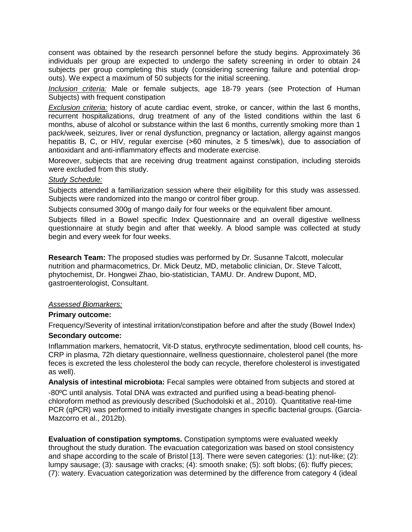consent was obtained by the research personnel before the study begins. Approximately 36 individuals per group are expected to undergo the safety screening in order to obtain 24 subjects per group completing this study (considering screening failure and potential dropouts). We expect a maximum of 50 subjects for the initial screening.

*Inclusion criteria:* Male or female subjects, age 18-79 years (see Protection of Human Subjects) with frequent constipation

*Exclusion criteria:* history of acute cardiac event, stroke, or cancer, within the last 6 months, recurrent hospitalizations, drug treatment of any of the listed conditions within the last 6 months, abuse of alcohol or substance within the last 6 months, currently smoking more than 1 pack/week, seizures, liver or renal dysfunction, pregnancy or lactation, allergy against mangos hepatitis B, C, or HIV, regular exercise (>60 minutes, ≥ 5 times/wk), due to association of antioxidant and anti-inflammatory effects and moderate exercise.

Moreover, subjects that are receiving drug treatment against constipation, including steroids were excluded from this study.

#### *Study Schedule:*

Subjects attended a familiarization session where their eligibility for this study was assessed. Subjects were randomized into the mango or control fiber group.

Subjects consumed 300g of mango daily for four weeks or the equivalent fiber amount.

Subjects filled in a Bowel specific Index Questionnaire and an overall digestive wellness questionnaire at study begin and after that weekly. A blood sample was collected at study begin and every week for four weeks.

**Research Team:** The proposed studies was performed by Dr. Susanne Talcott, molecular nutrition and pharmacometrics, Dr. Mick Deutz, MD, metabolic clinician, Dr. Steve Talcott, phytochemist, Dr. Hongwei Zhao, bio-statistician, TAMU. Dr. Andrew Dupont, MD, gastroenterologist, Consultant.

#### *Assessed Biomarkers:*

#### **Primary outcome:**

Frequency/Severity of intestinal irritation/constipation before and after the study (Bowel Index)

#### **Secondary outcome:**

Inflammation markers, hematocrit, Vit-D status, erythrocyte sedimentation, blood cell counts, hs-CRP in plasma, 72h dietary questionnaire, wellness questionnaire, cholesterol panel (the more feces is excreted the less cholesterol the body can recycle, therefore cholesterol is investigated as well).

**Analysis of intestinal microbiota:** Fecal samples were obtained from subjects and stored at

-80ºC until analysis. Total DNA was extracted and purified using a bead-beating phenolchloroform method as previously described (Suchodolski et al., 2010). Quantitative real-time PCR (qPCR) was performed to initially investigate changes in specific bacterial groups. (Garcia-Mazcorro et al., 2012b).

**Evaluation of constipation symptoms.** Constipation symptoms were evaluated weekly throughout the study duration. The evacuation categorization was based on stool consistency and shape according to the scale of Bristol [\[13\]](#page-12-3). There were seven categories: (1): nut-like; (2): lumpy sausage; (3): sausage with cracks; (4): smooth snake; (5): soft blobs; (6): fluffy pieces; (7): watery. Evacuation categorization was determined by the difference from category 4 (ideal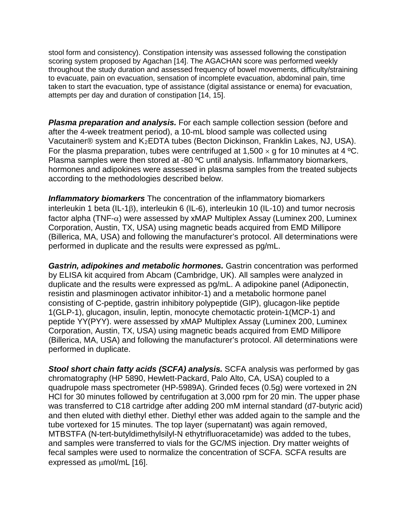stool form and consistency). Constipation intensity was assessed following the constipation scoring system proposed by Agachan [\[14\]](#page-12-4). The AGACHAN score was performed weekly throughout the study duration and assessed frequency of bowel movements, difficulty/straining to evacuate, pain on evacuation, sensation of incomplete evacuation, abdominal pain, time taken to start the evacuation, type of assistance (digital assistance or enema) for evacuation, attempts per day and duration of constipation [\[14,](#page-12-4) [15\]](#page-12-5).

*Plasma preparation and analysis.* For each sample collection session (before and after the 4-week treatment period), a 10-mL blood sample was collected using Vacutainer® system and K2EDTA tubes (Becton Dickinson, Franklin Lakes, NJ, USA). For the plasma preparation, tubes were centrifuged at 1,500  $\times$  g for 10 minutes at 4 °C. Plasma samples were then stored at -80 ºC until analysis. Inflammatory biomarkers, hormones and adipokines were assessed in plasma samples from the treated subjects according to the methodologies described below.

*Inflammatory biomarkers* The concentration of the inflammatory biomarkers interleukin 1 beta (IL-1β), interleukin 6 (IL-6), interleukin 10 (IL-10) and tumor necrosis factor alpha (TNF- $\alpha$ ) were assessed by xMAP Multiplex Assay (Luminex 200, Luminex Corporation, Austin, TX, USA) using magnetic beads acquired from EMD Millipore (Billerica, MA, USA) and following the manufacturer's protocol. All determinations were performed in duplicate and the results were expressed as pg/mL.

*Gastrin, adipokines and metabolic hormones.* Gastrin concentration was performed by ELISA kit acquired from Abcam (Cambridge, UK). All samples were analyzed in duplicate and the results were expressed as pg/mL. A adipokine panel (Adiponectin, resistin and plasminogen activator inhibitor-1) and a metabolic hormone panel consisting of C-peptide, gastrin inhibitory polypeptide (GIP), glucagon-like peptide 1(GLP-1), glucagon, insulin, leptin, monocyte chemotactic protein-1(MCP-1) and peptide YY(PYY). were assessed by xMAP Multiplex Assay (Luminex 200, Luminex Corporation, Austin, TX, USA) using magnetic beads acquired from EMD Millipore (Billerica, MA, USA) and following the manufacturer's protocol. All determinations were performed in duplicate.

**Stool short chain fatty acids (SCFA) analysis.** SCFA analysis was performed by gas chromatography (HP 5890, Hewlett-Packard, Palo Alto, CA, USA) coupled to a quadrupole mass spectrometer (HP-5989A). Grinded feces (0.5g) were vortexed in 2N HCl for 30 minutes followed by centrifugation at 3,000 rpm for 20 min. The upper phase was transferred to C18 cartridge after adding 200 mM internal standard (d7-butyric acid) and then eluted with diethyl ether. Diethyl ether was added again to the sample and the tube vortexed for 15 minutes. The top layer (supernatant) was again removed, MTBSTFA (N-tert-butyldimethylsilyl-N ethytrifluoracetamide) was added to the tubes, and samples were transferred to vials for the GC/MS injection. Dry matter weights of fecal samples were used to normalize the concentration of SCFA. SCFA results are expressed as  $\mu$ mol/mL [\[16\]](#page-12-6).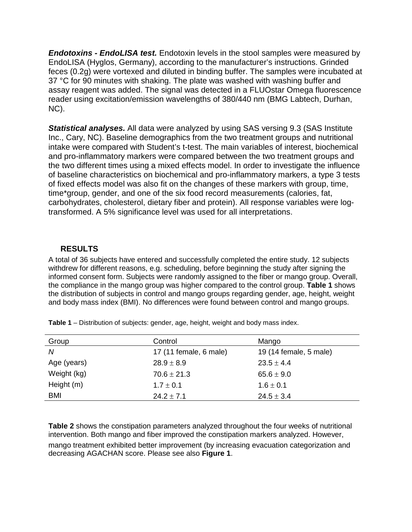*Endotoxins - EndoLISA test.* Endotoxin levels in the stool samples were measured by EndoLISA (Hyglos, Germany), according to the manufacturer's instructions. Grinded feces (0.2g) were vortexed and diluted in binding buffer. The samples were incubated at 37 °C for 90 minutes with shaking. The plate was washed with washing buffer and assay reagent was added. The signal was detected in a FLUOstar Omega fluorescence reader using excitation/emission wavelengths of 380/440 nm (BMG Labtech, Durhan, NC).

*Statistical analyses.* All data were analyzed by using SAS versing 9.3 (SAS Institute Inc., Cary, NC). Baseline demographics from the two treatment groups and nutritional intake were compared with Student's t-test. The main variables of interest, biochemical and pro-inflammatory markers were compared between the two treatment groups and the two different times using a mixed effects model. In order to investigate the influence of baseline characteristics on biochemical and pro-inflammatory markers, a type 3 tests of fixed effects model was also fit on the changes of these markers with group, time, time\*group, gender, and one of the six food record measurements (calories, fat, carbohydrates, cholesterol, dietary fiber and protein). All response variables were logtransformed. A 5% significance level was used for all interpretations.

# **RESULTS**

A total of 36 subjects have entered and successfully completed the entire study. 12 subjects withdrew for different reasons, e.g. scheduling, before beginning the study after signing the informed consent form. Subjects were randomly assigned to the fiber or mango group. Overall, the compliance in the mango group was higher compared to the control group. **Table 1** shows the distribution of subjects in control and mango groups regarding gender, age, height, weight and body mass index (BMI). No differences were found between control and mango groups.

| Group       | Control                | Mango                  |
|-------------|------------------------|------------------------|
| N           | 17 (11 female, 6 male) | 19 (14 female, 5 male) |
| Age (years) | $28.9 \pm 8.9$         | $23.5 \pm 4.4$         |
| Weight (kg) | $70.6 \pm 21.3$        | $65.6 \pm 9.0$         |
| Height (m)  | $1.7 \pm 0.1$          | $1.6 \pm 0.1$          |
| <b>BMI</b>  | $24.2 \pm 7.1$         | $24.5 \pm 3.4$         |

**Table 1** – Distribution of subjects: gender, age, height, weight and body mass index.

**Table 2** shows the constipation parameters analyzed throughout the four weeks of nutritional intervention. Both mango and fiber improved the constipation markers analyzed. However, mango treatment exhibited better improvement (by increasing evacuation categorization and decreasing AGACHAN score. Please see also **Figure 1**.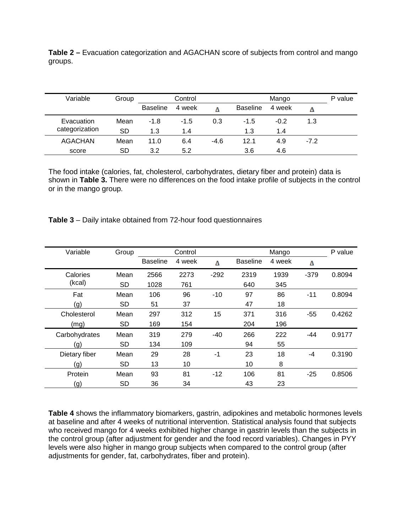**Table 2 –** Evacuation categorization and AGACHAN score of subjects from control and mango groups.

| Variable       | Group | Control         |        |        | Mango           |        |        | P value |
|----------------|-------|-----------------|--------|--------|-----------------|--------|--------|---------|
|                |       | <b>Baseline</b> | 4 week |        | <b>Baseline</b> | 4 week | Δ      |         |
| Evacuation     | Mean  | $-1.8$          | $-1.5$ | 0.3    | $-1.5$          | $-0.2$ | 1.3    |         |
| categorization | SD    | 1.3             | 1.4    |        | 1.3             | 1.4    |        |         |
| <b>AGACHAN</b> | Mean  | 11.0            | 6.4    | $-4.6$ | 12.1            | 4.9    | $-7.2$ |         |
| score          | SD    | 3.2             | 5.2    |        | 3.6             | 4.6    |        |         |

The food intake (calories, fat, cholesterol, carbohydrates, dietary fiber and protein) data is shown in **Table 3.** There were no differences on the food intake profile of subjects in the control or in the mango group.

| <b>Table 3</b> – Daily intake obtained from 72-hour food questionnaires |  |
|-------------------------------------------------------------------------|--|
|-------------------------------------------------------------------------|--|

| Variable      | Group     | Control         |        | Mango  |                 |        | P value |        |
|---------------|-----------|-----------------|--------|--------|-----------------|--------|---------|--------|
|               |           | <b>Baseline</b> | 4 week | Δ      | <b>Baseline</b> | 4 week | Δ       |        |
| Calories      | Mean      | 2566            | 2273   | $-292$ | 2319            | 1939   | $-379$  | 0.8094 |
| (kcal)        | <b>SD</b> | 1028            | 761    |        | 640             | 345    |         |        |
| Fat           | Mean      | 106             | 96     | $-10$  | 97              | 86     | $-11$   | 0.8094 |
| (g)           | <b>SD</b> | 51              | 37     |        | 47              | 18     |         |        |
| Cholesterol   | Mean      | 297             | 312    | 15     | 371             | 316    | $-55$   | 0.4262 |
| (mg)          | <b>SD</b> | 169             | 154    |        | 204             | 196    |         |        |
| Carbohydrates | Mean      | 319             | 279    | $-40$  | 266             | 222    | -44     | 0.9177 |
| (g)           | <b>SD</b> | 134             | 109    |        | 94              | 55     |         |        |
| Dietary fiber | Mean      | 29              | 28     | $-1$   | 23              | 18     | $-4$    | 0.3190 |
| (g)           | <b>SD</b> | 13              | 10     |        | 10              | 8      |         |        |
| Protein       | Mean      | 93              | 81     | $-12$  | 106             | 81     | $-25$   | 0.8506 |
| (g)           | <b>SD</b> | 36              | 34     |        | 43              | 23     |         |        |

**Table 4** shows the inflammatory biomarkers, gastrin, adipokines and metabolic hormones levels at baseline and after 4 weeks of nutritional intervention. Statistical analysis found that subjects who received mango for 4 weeks exhibited higher change in gastrin levels than the subjects in the control group (after adjustment for gender and the food record variables). Changes in PYY levels were also higher in mango group subjects when compared to the control group (after adjustments for gender, fat, carbohydrates, fiber and protein).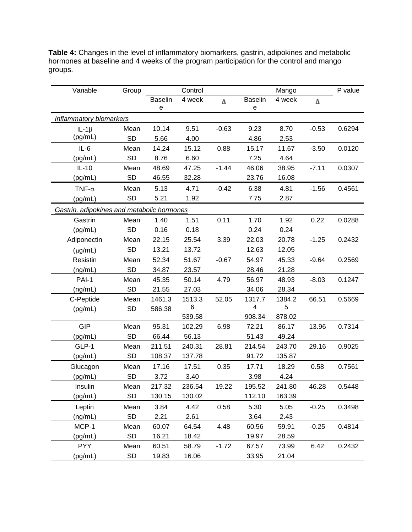| Variable                                   | Group     |                     | Control | Mango   |                                                                  |        | P value |        |
|--------------------------------------------|-----------|---------------------|---------|---------|------------------------------------------------------------------|--------|---------|--------|
|                                            |           | <b>Baselin</b><br>e | 4 week  | Δ       | <b>Baselin</b><br>$\mathbf{e}% _{t}\left( \mathbf{1}_{t}\right)$ | 4 week | Δ       |        |
| <b>Inflammatory biomarkers</b>             |           |                     |         |         |                                                                  |        |         |        |
| IL-1 $\beta$                               | Mean      | 10.14               | 9.51    | $-0.63$ | 9.23                                                             | 8.70   | $-0.53$ | 0.6294 |
| (pg/mL)                                    | <b>SD</b> | 5.66                | 4.00    |         | 4.86                                                             | 2.53   |         |        |
| $IL-6$                                     | Mean      | 14.24               | 15.12   | 0.88    | 15.17                                                            | 11.67  | $-3.50$ | 0.0120 |
| (pg/mL)                                    | SD        | 8.76                | 6.60    |         | 7.25                                                             | 4.64   |         |        |
| $IL-10$                                    | Mean      | 48.69               | 47.25   | $-1.44$ | 46.06                                                            | 38.95  | $-7.11$ | 0.0307 |
| (pg/mL)                                    | <b>SD</b> | 46.55               | 32.28   |         | 23.76                                                            | 16.08  |         |        |
| TNF- $\alpha$                              | Mean      | 5.13                | 4.71    | $-0.42$ | 6.38                                                             | 4.81   | $-1.56$ | 0.4561 |
| (pg/mL)                                    | <b>SD</b> | 5.21                | 1.92    |         | 7.75                                                             | 2.87   |         |        |
| Gastrin, adipokines and metabolic hormones |           |                     |         |         |                                                                  |        |         |        |
| Gastrin                                    | Mean      | 1.40                | 1.51    | 0.11    | 1.70                                                             | 1.92   | 0.22    | 0.0288 |
| (pg/mL)                                    | <b>SD</b> | 0.16                | 0.18    |         | 0.24                                                             | 0.24   |         |        |
| Adiponectin                                | Mean      | 22.15               | 25.54   | 3.39    | 22.03                                                            | 20.78  | $-1.25$ | 0.2432 |
| $(\mu g/mL)$                               | <b>SD</b> | 13.21               | 13.72   |         | 12.63                                                            | 12.05  |         |        |
| Resistin                                   | Mean      | 52.34               | 51.67   | $-0.67$ | 54.97                                                            | 45.33  | $-9.64$ | 0.2569 |
| (ng/mL)                                    | <b>SD</b> | 34.87               | 23.57   |         | 28.46                                                            | 21.28  |         |        |
| PAI-1                                      | Mean      | 45.35               | 50.14   | 4.79    | 56.97                                                            | 48.93  | $-8.03$ | 0.1247 |
| (ng/mL)                                    | <b>SD</b> | 21.55               | 27.03   |         | 34.06                                                            | 28.34  |         |        |
| C-Peptide                                  | Mean      | 1461.3              | 1513.3  | 52.05   | 1317.7                                                           | 1384.2 | 66.51   | 0.5669 |
| (pg/mL)                                    | <b>SD</b> | 586.38              | 6       |         | 4                                                                | 5      |         |        |
|                                            |           |                     | 539.58  |         | 908.34                                                           | 878.02 |         |        |
| <b>GIP</b>                                 | Mean      | 95.31               | 102.29  | 6.98    | 72.21                                                            | 86.17  | 13.96   | 0.7314 |
| (pg/mL)                                    | <b>SD</b> | 66.44               | 56.13   |         | 51.43                                                            | 49.24  |         |        |
| GLP-1                                      | Mean      | 211.51              | 240.31  | 28.81   | 214.54                                                           | 243.70 | 29.16   | 0.9025 |
| (pg/mL)                                    | SD        | 108.37              | 137.78  |         | 91.72                                                            | 135.87 |         |        |
| Glucagon                                   | Mean      | 17.16               | 17.51   | 0.35    | 17.71                                                            | 18.29  | 0.58    | 0.7561 |
| (pg/mL)                                    | SD        | 3.72                | 3.40    |         | 3.98                                                             | 4.24   |         |        |
| Insulin                                    | Mean      | 217.32              | 236.54  | 19.22   | 195.52                                                           | 241.80 | 46.28   | 0.5448 |
| (pg/mL)                                    | SD        | 130.15              | 130.02  |         | 112.10                                                           | 163.39 |         |        |
| Leptin                                     | Mean      | 3.84                | 4.42    | 0.58    | 5.30                                                             | 5.05   | $-0.25$ | 0.3498 |
| (ng/mL)                                    | SD        | 2.21                | 2.61    |         | 3.64                                                             | 2.43   |         |        |
| MCP-1                                      | Mean      | 60.07               | 64.54   | 4.48    | 60.56                                                            | 59.91  | $-0.25$ | 0.4814 |
| (pg/mL)                                    | SD        | 16.21               | 18.42   |         | 19.97                                                            | 28.59  |         |        |
| <b>PYY</b>                                 | Mean      | 60.51               | 58.79   | $-1.72$ | 67.57                                                            | 73.99  | 6.42    | 0.2432 |
| (pg/mL)                                    | SD        | 19.83               | 16.06   |         | 33.95                                                            | 21.04  |         |        |

**Table 4:** Changes in the level of inflammatory biomarkers, gastrin, adipokines and metabolic hormones at baseline and 4 weeks of the program participation for the control and mango groups.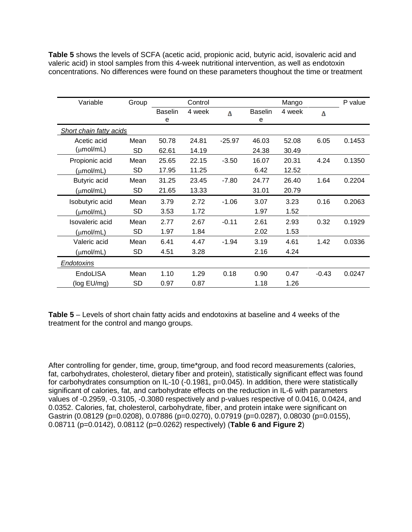**Table 5** shows the levels of SCFA (acetic acid, propionic acid, butyric acid, isovaleric acid and valeric acid) in stool samples from this 4-week nutritional intervention, as well as endotoxin concentrations. No differences were found on these parameters thoughout the time or treatment

| Variable                       | Group     |                | Control |          |                | Mango  |         | P value |
|--------------------------------|-----------|----------------|---------|----------|----------------|--------|---------|---------|
|                                |           | <b>Baselin</b> | 4 week  | Δ        | <b>Baselin</b> | 4 week | Δ       |         |
|                                |           | е              |         |          | е              |        |         |         |
| <b>Short chain fatty acids</b> |           |                |         |          |                |        |         |         |
| Acetic acid                    | Mean      | 50.78          | 24.81   | $-25.97$ | 46.03          | 52.08  | 6.05    | 0.1453  |
| $(\mu mol/mL)$                 | SD        | 62.61          | 14.19   |          | 24.38          | 30.49  |         |         |
| Propionic acid                 | Mean      | 25.65          | 22.15   | $-3.50$  | 16.07          | 20.31  | 4.24    | 0.1350  |
| $(\mu mol/mL)$                 | <b>SD</b> | 17.95          | 11.25   |          | 6.42           | 12.52  |         |         |
| <b>Butyric acid</b>            | Mean      | 31.25          | 23.45   | -7.80    | 24.77          | 26.40  | 1.64    | 0.2204  |
| $(\mu mol/mL)$                 | SD        | 21.65          | 13.33   |          | 31.01          | 20.79  |         |         |
| Isobutyric acid                | Mean      | 3.79           | 2.72    | $-1.06$  | 3.07           | 3.23   | 0.16    | 0.2063  |
| $(\mu mol/mL)$                 | SD        | 3.53           | 1.72    |          | 1.97           | 1.52   |         |         |
| Isovaleric acid                | Mean      | 2.77           | 2.67    | $-0.11$  | 2.61           | 2.93   | 0.32    | 0.1929  |
| (µmol/mL)                      | SD        | 1.97           | 1.84    |          | 2.02           | 1.53   |         |         |
| Valeric acid                   | Mean      | 6.41           | 4.47    | $-1.94$  | 3.19           | 4.61   | 1.42    | 0.0336  |
| (µmol/mL)                      | SD        | 4.51           | 3.28    |          | 2.16           | 4.24   |         |         |
| Endotoxins                     |           |                |         |          |                |        |         |         |
| EndoLISA                       | Mean      | 1.10           | 1.29    | 0.18     | 0.90           | 0.47   | $-0.43$ | 0.0247  |
| (log EU/mg)                    | <b>SD</b> | 0.97           | 0.87    |          | 1.18           | 1.26   |         |         |

**Table 5** – Levels of short chain fatty acids and endotoxins at baseline and 4 weeks of the treatment for the control and mango groups.

After controlling for gender, time, group, time\*group, and food record measurements (calories, fat, carbohydrates, cholesterol, dietary fiber and protein), statistically significant effect was found for carbohydrates consumption on IL-10 (-0.1981, p=0.045). In addition, there were statistically significant of calories, fat, and carbohydrate effects on the reduction in IL-6 with parameters values of -0.2959, -0.3105, -0.3080 respectively and p-values respective of 0.0416, 0.0424, and 0.0352. Calories, fat, cholesterol, carbohydrate, fiber, and protein intake were significant on Gastrin (0.08129 (p=0.0208), 0.07886 (p=0.0270), 0.07919 (p=0.0287), 0.08030 (p=0.0155), 0.08711 (p=0.0142), 0.08112 (p=0.0262) respectively) (**Table 6 and Figure 2**)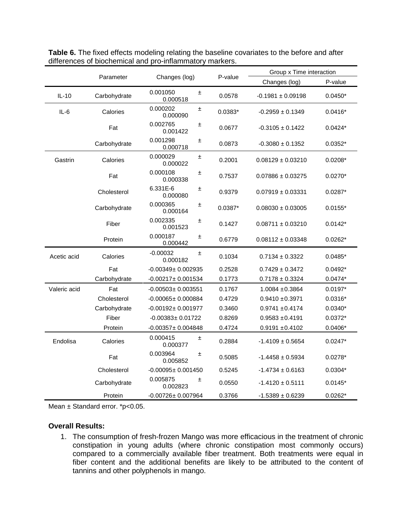|              |              |                              |           | Group x Time interaction |           |  |
|--------------|--------------|------------------------------|-----------|--------------------------|-----------|--|
|              | Parameter    | Changes (log)                | P-value   | Changes (log)            | P-value   |  |
| $IL-10$      | Carbohydrate | 0.001050<br>±.<br>0.000518   | 0.0578    | $-0.1981 \pm 0.09198$    | $0.0450*$ |  |
| $IL-6$       | Calories     | 0.000202<br>±<br>0.000090    | $0.0383*$ | $-0.2959 \pm 0.1349$     | $0.0416*$ |  |
|              | Fat          | 0.002765<br>±<br>0.001422    | 0.0677    | $-0.3105 \pm 0.1422$     | $0.0424*$ |  |
|              | Carbohydrate | 0.001298<br>Ŧ.<br>0.000718   | 0.0873    | $-0.3080 \pm 0.1352$     | $0.0352*$ |  |
| Gastrin      | Calories     | 0.000029<br>±.<br>0.000022   | 0.2001    | $0.08129 \pm 0.03210$    | $0.0208*$ |  |
|              | Fat          | 0.000108<br>Ŧ<br>0.000338    | 0.7537    | $0.07886 \pm 0.03275$    | $0.0270*$ |  |
|              | Cholesterol  | 6.331E-6<br>±.<br>0.000080   | 0.9379    | $0.07919 \pm 0.03331$    | $0.0287*$ |  |
|              | Carbohydrate | 0.000365<br>±<br>0.000164    | $0.0387*$ | $0.08030 \pm 0.03005$    | $0.0155*$ |  |
|              | Fiber        | 0.002335<br>±<br>0.001523    | 0.1427    | $0.08711 \pm 0.03210$    | $0.0142*$ |  |
|              | Protein      | 0.000187<br>±.<br>0.000442   | 0.6779    | $0.08112 \pm 0.03348$    | $0.0262*$ |  |
| Acetic acid  | Calories     | $-0.00032$<br>Ŧ.<br>0.000182 | 0.1034    | $0.7134 \pm 0.3322$      | $0.0485*$ |  |
|              | Fat          | $-0.00349 \pm 0.002935$      | 0.2528    | $0.7429 \pm 0.3472$      | $0.0492*$ |  |
|              | Carbohydrate | $-0.00217 \pm 0.001534$      | 0.1773    | $0.7178 \pm 0.3324$      | $0.0474*$ |  |
| Valeric acid | Fat          | $-0.00503 \pm 0.003551$      | 0.1767    | $1.0084 \pm 0.3864$      | $0.0197*$ |  |
|              | Cholesterol  | $-0.00065 \pm 0.000884$      | 0.4729    | $0.9410 \pm 0.3971$      | $0.0316*$ |  |
|              | Carbohydrate | $-0.00192 \pm 0.001977$      | 0.3460    | $0.9741 \pm 0.4174$      | $0.0340*$ |  |
|              | Fiber        | $-0.00383 \pm 0.01722$       | 0.8269    | $0.9583 + 0.4191$        | $0.0372*$ |  |
|              | Protein      | $-0.00357 + 0.004848$        | 0.4724    | $0.9191 \pm 0.4102$      | $0.0406*$ |  |
| Endolisa     | Calories     | 0.000415<br>Ŧ.<br>0.000377   | 0.2884    | $-1.4109 \pm 0.5654$     | $0.0247*$ |  |
|              | Fat          | 0.003964<br>Ŧ<br>0.005852    | 0.5085    | $-1.4458 \pm 0.5934$     | $0.0278*$ |  |
|              | Cholesterol  | $-0.00095 \pm 0.001450$      | 0.5245    | $-1.4734 \pm 0.6163$     | $0.0304*$ |  |
|              | Carbohydrate | 0.005875<br>士<br>0.002823    | 0.0550    | $-1.4120 \pm 0.5111$     | $0.0145*$ |  |
|              | Protein      | $-0.00726 \pm 0.007964$      | 0.3766    | $-1.5389 \pm 0.6239$     | $0.0262*$ |  |

Table 6. The fixed effects modeling relating the baseline covariates to the before and after differences of biochemical and pro-inflammatory markers.

Mean ± Standard error. \*p<0.05.

## **Overall Results:**

1. The consumption of fresh-frozen Mango was more efficacious in the treatment of chronic constipation in young adults (where chronic constipation most commonly occurs) compared to a commercially available fiber treatment. Both treatments were equal in fiber content and the additional benefits are likely to be attributed to the content of tannins and other polyphenols in mango.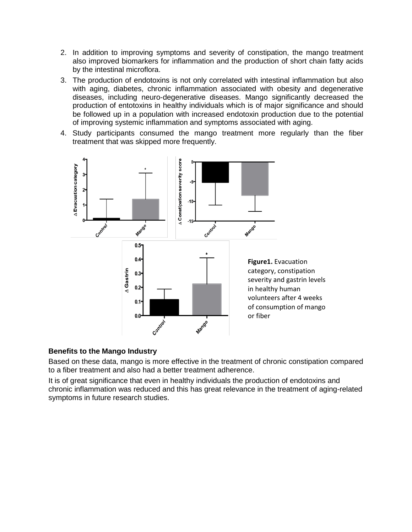- 2. In addition to improving symptoms and severity of constipation, the mango treatment also improved biomarkers for inflammation and the production of short chain fatty acids by the intestinal microflora.
- 3. The production of endotoxins is not only correlated with intestinal inflammation but also with aging, diabetes, chronic inflammation associated with obesity and degenerative diseases, including neuro-degenerative diseases. Mango significantly decreased the production of entotoxins in healthy individuals which is of major significance and should be followed up in a population with increased endotoxin production due to the potential of improving systemic inflammation and symptoms associated with aging.
- 4. Study participants consumed the mango treatment more regularly than the fiber treatment that was skipped more frequently.



# **Benefits to the Mango Industry**

Based on these data, mango is more effective in the treatment of chronic constipation compared to a fiber treatment and also had a better treatment adherence.

It is of great significance that even in healthy individuals the production of endotoxins and chronic inflammation was reduced and this has great relevance in the treatment of aging-related symptoms in future research studies.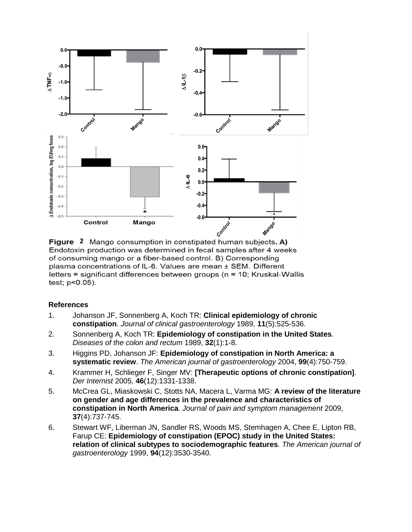

Figure 2 Mango consumption in constipated human subjects. A) Endotoxin production was determined in fecal samples after 4 weeks of consuming mango or a fiber-based control. B) Corresponding plasma concentrations of IL-6. Values are mean ± SEM. Different letters = significant differences between groups (n = 10; Kruskal-Wallis test; p<0.05).

## **References**

- <span id="page-11-0"></span>1. Johanson JF, Sonnenberg A, Koch TR: **Clinical epidemiology of chronic constipation**. *Journal of clinical gastroenterology* 1989, **11**(5):525-536.
- <span id="page-11-1"></span>2. Sonnenberg A, Koch TR: **Epidemiology of constipation in the United States**. *Diseases of the colon and rectum* 1989, **32**(1):1-8.
- <span id="page-11-2"></span>3. Higgins PD, Johanson JF: **Epidemiology of constipation in North America: a systematic review**. *The American journal of gastroenterology* 2004, **99**(4):750-759.
- <span id="page-11-3"></span>4. Krammer H, Schlieger F, Singer MV: **[Therapeutic options of chronic constipation]**. *Der Internist* 2005, **46**(12):1331-1338.
- <span id="page-11-4"></span>5. McCrea GL, Miaskowski C, Stotts NA, Macera L, Varma MG: **A review of the literature on gender and age differences in the prevalence and characteristics of constipation in North America**. *Journal of pain and symptom management* 2009, **37**(4):737-745.
- <span id="page-11-5"></span>6. Stewart WF, Liberman JN, Sandler RS, Woods MS, Stemhagen A, Chee E, Lipton RB, Farup CE: **Epidemiology of constipation (EPOC) study in the United States: relation of clinical subtypes to sociodemographic features**. *The American journal of gastroenterology* 1999, **94**(12):3530-3540.